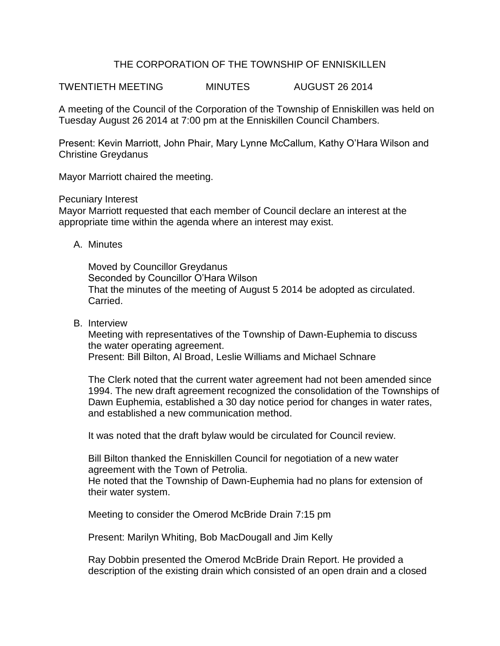## THE CORPORATION OF THE TOWNSHIP OF ENNISKILLEN

TWENTIETH MEETING MINUTES AUGUST 26 2014

A meeting of the Council of the Corporation of the Township of Enniskillen was held on Tuesday August 26 2014 at 7:00 pm at the Enniskillen Council Chambers.

Present: Kevin Marriott, John Phair, Mary Lynne McCallum, Kathy O'Hara Wilson and Christine Greydanus

Mayor Marriott chaired the meeting.

Pecuniary Interest

Mayor Marriott requested that each member of Council declare an interest at the appropriate time within the agenda where an interest may exist.

A. Minutes

Moved by Councillor Greydanus Seconded by Councillor O'Hara Wilson That the minutes of the meeting of August 5 2014 be adopted as circulated. Carried.

B. Interview

Meeting with representatives of the Township of Dawn-Euphemia to discuss the water operating agreement. Present: Bill Bilton, Al Broad, Leslie Williams and Michael Schnare

The Clerk noted that the current water agreement had not been amended since 1994. The new draft agreement recognized the consolidation of the Townships of Dawn Euphemia, established a 30 day notice period for changes in water rates, and established a new communication method.

It was noted that the draft bylaw would be circulated for Council review.

Bill Bilton thanked the Enniskillen Council for negotiation of a new water agreement with the Town of Petrolia.

He noted that the Township of Dawn-Euphemia had no plans for extension of their water system.

Meeting to consider the Omerod McBride Drain 7:15 pm

Present: Marilyn Whiting, Bob MacDougall and Jim Kelly

Ray Dobbin presented the Omerod McBride Drain Report. He provided a description of the existing drain which consisted of an open drain and a closed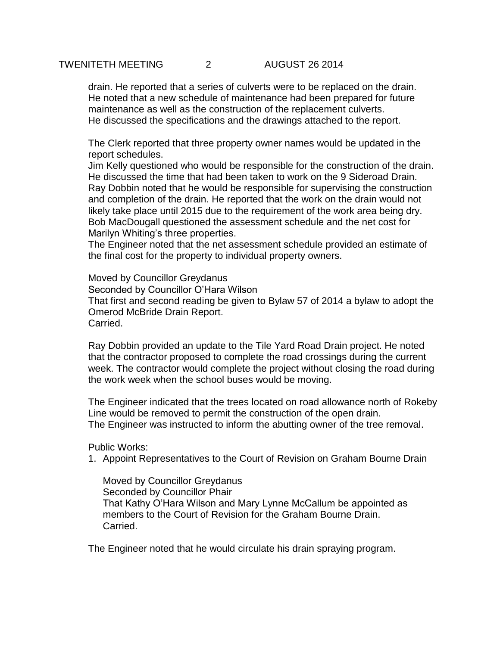## TWENITETH MEETING 2 AUGUST 26 2014

drain. He reported that a series of culverts were to be replaced on the drain. He noted that a new schedule of maintenance had been prepared for future maintenance as well as the construction of the replacement culverts. He discussed the specifications and the drawings attached to the report.

The Clerk reported that three property owner names would be updated in the report schedules.

Jim Kelly questioned who would be responsible for the construction of the drain. He discussed the time that had been taken to work on the 9 Sideroad Drain. Ray Dobbin noted that he would be responsible for supervising the construction and completion of the drain. He reported that the work on the drain would not likely take place until 2015 due to the requirement of the work area being dry. Bob MacDougall questioned the assessment schedule and the net cost for Marilyn Whiting's three properties.

The Engineer noted that the net assessment schedule provided an estimate of the final cost for the property to individual property owners.

Moved by Councillor Greydanus Seconded by Councillor O'Hara Wilson That first and second reading be given to Bylaw 57 of 2014 a bylaw to adopt the Omerod McBride Drain Report. Carried.

Ray Dobbin provided an update to the Tile Yard Road Drain project. He noted that the contractor proposed to complete the road crossings during the current week. The contractor would complete the project without closing the road during the work week when the school buses would be moving.

The Engineer indicated that the trees located on road allowance north of Rokeby Line would be removed to permit the construction of the open drain. The Engineer was instructed to inform the abutting owner of the tree removal.

Public Works:

1. Appoint Representatives to the Court of Revision on Graham Bourne Drain

Moved by Councillor Greydanus Seconded by Councillor Phair That Kathy O'Hara Wilson and Mary Lynne McCallum be appointed as members to the Court of Revision for the Graham Bourne Drain. Carried.

The Engineer noted that he would circulate his drain spraying program.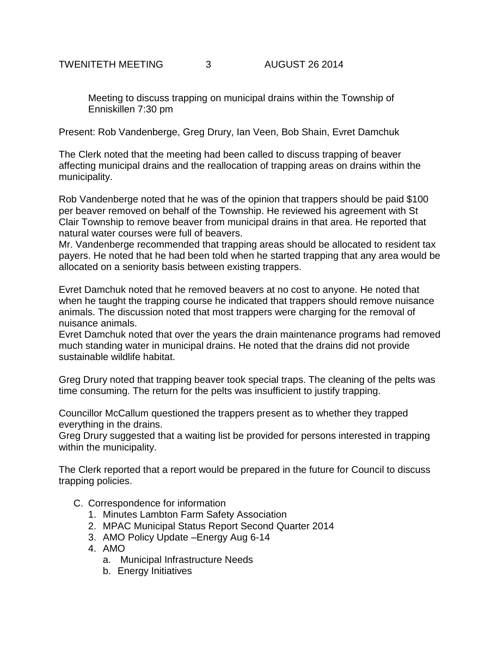Meeting to discuss trapping on municipal drains within the Township of Enniskillen 7:30 pm

Present: Rob Vandenberge, Greg Drury, Ian Veen, Bob Shain, Evret Damchuk

The Clerk noted that the meeting had been called to discuss trapping of beaver affecting municipal drains and the reallocation of trapping areas on drains within the municipality.

Rob Vandenberge noted that he was of the opinion that trappers should be paid \$100 per beaver removed on behalf of the Township. He reviewed his agreement with St Clair Township to remove beaver from municipal drains in that area. He reported that natural water courses were full of beavers.

Mr. Vandenberge recommended that trapping areas should be allocated to resident tax payers. He noted that he had been told when he started trapping that any area would be allocated on a seniority basis between existing trappers.

Evret Damchuk noted that he removed beavers at no cost to anyone. He noted that when he taught the trapping course he indicated that trappers should remove nuisance animals. The discussion noted that most trappers were charging for the removal of nuisance animals.

Evret Damchuk noted that over the years the drain maintenance programs had removed much standing water in municipal drains. He noted that the drains did not provide sustainable wildlife habitat.

Greg Drury noted that trapping beaver took special traps. The cleaning of the pelts was time consuming. The return for the pelts was insufficient to justify trapping.

Councillor McCallum questioned the trappers present as to whether they trapped everything in the drains.

Greg Drury suggested that a waiting list be provided for persons interested in trapping within the municipality.

The Clerk reported that a report would be prepared in the future for Council to discuss trapping policies.

- C. Correspondence for information
	- 1. Minutes Lambton Farm Safety Association
	- 2. MPAC Municipal Status Report Second Quarter 2014
	- 3. AMO Policy Update –Energy Aug 6-14
	- 4. AMO
		- a. Municipal Infrastructure Needs
		- b. Energy Initiatives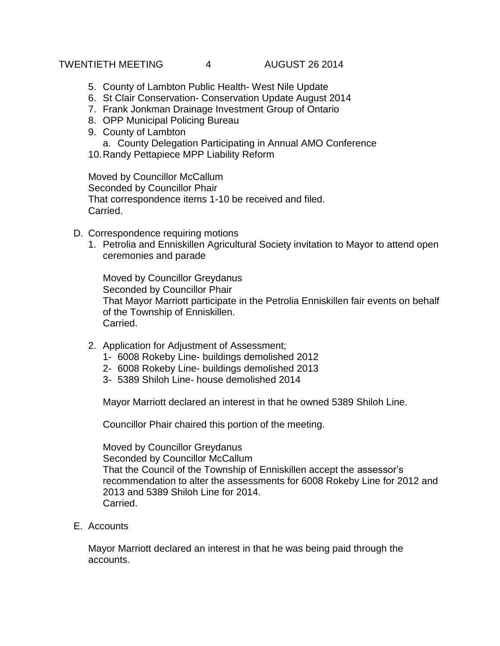## TWENTIETH MEETING  $4$  AUGUST 26 2014

- 5. County of Lambton Public Health- West Nile Update
- 6. St Clair Conservation- Conservation Update August 2014
- 7. Frank Jonkman Drainage Investment Group of Ontario
- 8. OPP Municipal Policing Bureau
- 9. County of Lambton
	- a. County Delegation Participating in Annual AMO Conference
- 10.Randy Pettapiece MPP Liability Reform

Moved by Councillor McCallum Seconded by Councillor Phair That correspondence items 1-10 be received and filed. Carried.

- D. Correspondence requiring motions
	- 1. Petrolia and Enniskillen Agricultural Society invitation to Mayor to attend open ceremonies and parade

Moved by Councillor Greydanus Seconded by Councillor Phair That Mayor Marriott participate in the Petrolia Enniskillen fair events on behalf of the Township of Enniskillen. Carried.

- 2. Application for Adjustment of Assessment;
	- 1- 6008 Rokeby Line- buildings demolished 2012
	- 2- 6008 Rokeby Line- buildings demolished 2013
	- 3- 5389 Shiloh Line- house demolished 2014

Mayor Marriott declared an interest in that he owned 5389 Shiloh Line.

Councillor Phair chaired this portion of the meeting.

Moved by Councillor Greydanus Seconded by Councillor McCallum That the Council of the Township of Enniskillen accept the assessor's recommendation to alter the assessments for 6008 Rokeby Line for 2012 and 2013 and 5389 Shiloh Line for 2014. Carried.

E. Accounts

Mayor Marriott declared an interest in that he was being paid through the accounts.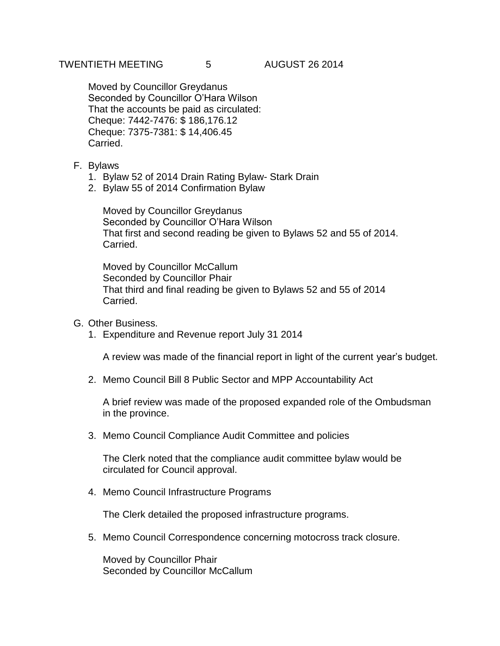Moved by Councillor Greydanus Seconded by Councillor O'Hara Wilson That the accounts be paid as circulated: Cheque: 7442-7476: \$ 186,176.12 Cheque: 7375-7381: \$ 14,406.45 Carried.

- F. Bylaws
	- 1. Bylaw 52 of 2014 Drain Rating Bylaw- Stark Drain
	- 2. Bylaw 55 of 2014 Confirmation Bylaw

Moved by Councillor Greydanus Seconded by Councillor O'Hara Wilson That first and second reading be given to Bylaws 52 and 55 of 2014. Carried.

Moved by Councillor McCallum Seconded by Councillor Phair That third and final reading be given to Bylaws 52 and 55 of 2014 Carried.

- G. Other Business.
	- 1. Expenditure and Revenue report July 31 2014

A review was made of the financial report in light of the current year's budget.

2. Memo Council Bill 8 Public Sector and MPP Accountability Act

A brief review was made of the proposed expanded role of the Ombudsman in the province.

3. Memo Council Compliance Audit Committee and policies

The Clerk noted that the compliance audit committee bylaw would be circulated for Council approval.

4. Memo Council Infrastructure Programs

The Clerk detailed the proposed infrastructure programs.

5. Memo Council Correspondence concerning motocross track closure.

Moved by Councillor Phair Seconded by Councillor McCallum